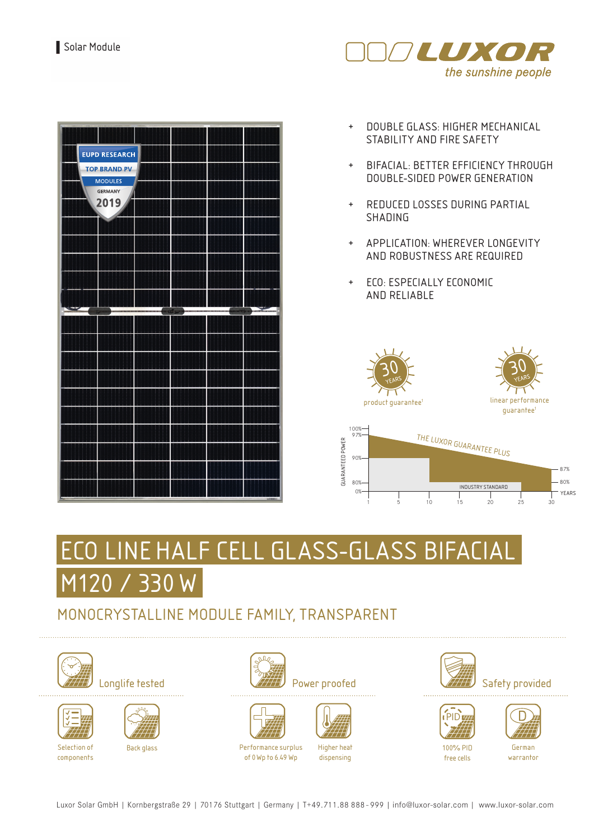



- + DOUBLE GLASS: HIGHER MECHANICAL STABILITY AND FIRE SAFETY
- + BIFACIAL: BETTER EFFICIENCY THROUGH DOUBLE-SIDED POWER GENERATION
- + REDUCED LOSSES DURING PARTIAL SHADING
- + APPLICATION: WHEREVER LONGEVITY AND ROBUSTNESS ARE REQUIRED
- + ECO: ESPECIALLY ECONOMIC AND RELIABLE







# LINE HALF CELL GLASS-GLASS BIFACIAL M120 / 330 W

### MONOCRYSTALLINE MODULE FAMILY, TRANSPARENT









Back glass Performance surplus











Higher heat dispensing



PID





100% PID free cells

German warrantor